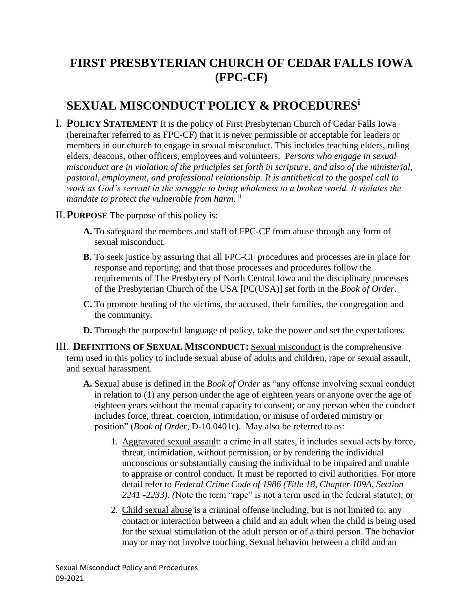# **FIRST PRESBYTERIAN CHURCH OF CEDAR FALLS IOWA (FPC-CF)**

# **SEXUAL MISCONDUCT POLICY & PROCEDURES<sup>i</sup>**

- I. **POLICY STATEMENT** It is the policy of First Presbyterian Church of Cedar Falls Iowa (hereinafter referred to as FPC-CF) that it is never permissible or acceptable for leaders or members in our church to engage in sexual misconduct. This includes teaching elders, ruling elders, deacons, other officers, employees and volunteers. P*ersons who engage in sexual misconduct are in violation of the principles set forth in scripture, and also of the ministerial, pastoral, employment, and professional relationship. It is antithetical to the gospel call to work as God's servant in the struggle to bring wholeness to a broken world. It violates the mandate to protect the vulnerable from harm.* ii
- II.**PURPOSE** The purpose of this policy is:
	- **A.** To safeguard the members and staff of FPC-CF from abuse through any form of sexual misconduct.
	- **B.** To seek justice by assuring that all FPC-CF procedures and processes are in place for response and reporting; and that those processes and procedures follow the requirements of The Presbytery of North Central Iowa and the disciplinary processes of the Presbyterian Church of the USA [PC(USA)] set forth in the *Book of Order*.
	- **C.** To promote healing of the victims, the accused, their families, the congregation and the community.
	- **D.** Through the purposeful language of policy, take the power and set the expectations.
- III. **DEFINITIONS OF SEXUAL MISCONDUCT:** Sexual misconduct is the comprehensive term used in this policy to include sexual abuse of adults and children, rape or sexual assault, and sexual harassment.
	- **A.** Sexual abuse is defined in the *Book of Order* as "any offense involving sexual conduct in relation to (1) any person under the age of eighteen years or anyone over the age of eighteen years without the mental capacity to consent; or any person when the conduct includes force, threat, coercion, intimidation, or misuse of ordered ministry or position" (*Book of Order*, D-10.0401c). May also be referred to as:
		- 1. Aggravated sexual assault: a crime in all states, it includes sexual acts by force, threat, intimidation, without permission, or by rendering the individual unconscious or substantially causing the individual to be impaired and unable to appraise or control conduct. It must be reported to civil authorities. For more detail refer to *Federal Crime Code of 1986 (Title 18, Chapter 109A, Section 2241 -2233). (*Note the term "rape" is not a term used in the federal statute); or
		- 2. Child sexual abuse is a criminal offense including, but is not limited to, any contact or interaction between a child and an adult when the child is being used for the sexual stimulation of the adult person or of a third person. The behavior may or may not involve touching. Sexual behavior between a child and an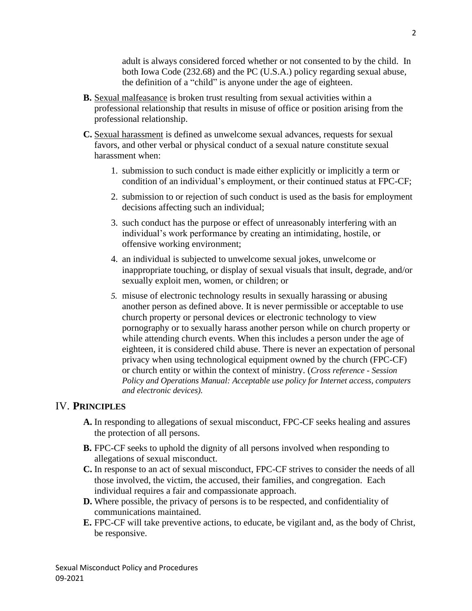adult is always considered forced whether or not consented to by the child. In both Iowa Code (232.68) and the PC (U.S.A.) policy regarding sexual abuse, the definition of a "child" is anyone under the age of eighteen.

- **B.** Sexual malfeasance is broken trust resulting from sexual activities within a professional relationship that results in misuse of office or position arising from the professional relationship.
- **C.** Sexual harassment is defined as unwelcome sexual advances, requests for sexual favors, and other verbal or physical conduct of a sexual nature constitute sexual harassment when:
	- 1. submission to such conduct is made either explicitly or implicitly a term or condition of an individual's employment, or their continued status at FPC-CF;
	- 2. submission to or rejection of such conduct is used as the basis for employment decisions affecting such an individual;
	- 3. such conduct has the purpose or effect of unreasonably interfering with an individual's work performance by creating an intimidating, hostile, or offensive working environment;
	- 4. an individual is subjected to unwelcome sexual jokes, unwelcome or inappropriate touching, or display of sexual visuals that insult, degrade, and/or sexually exploit men, women, or children; or
	- *5.* misuse of electronic technology results in sexually harassing or abusing another person as defined above. It is never permissible or acceptable to use church property or personal devices or electronic technology to view pornography or to sexually harass another person while on church property or while attending church events. When this includes a person under the age of eighteen, it is considered child abuse. There is never an expectation of personal privacy when using technological equipment owned by the church (FPC-CF) or church entity or within the context of ministry. (*Cross reference - Session Policy and Operations Manual: Acceptable use policy for Internet access, computers and electronic devices).*

#### IV. **PRINCIPLES**

- **A.** In responding to allegations of sexual misconduct, FPC-CF seeks healing and assures the protection of all persons.
- **B.** FPC-CF seeks to uphold the dignity of all persons involved when responding to allegations of sexual misconduct.
- **C.** In response to an act of sexual misconduct, FPC-CF strives to consider the needs of all those involved, the victim, the accused, their families, and congregation. Each individual requires a fair and compassionate approach.
- **D.** Where possible, the privacy of persons is to be respected, and confidentiality of communications maintained.
- **E.** FPC-CF will take preventive actions, to educate, be vigilant and, as the body of Christ, be responsive.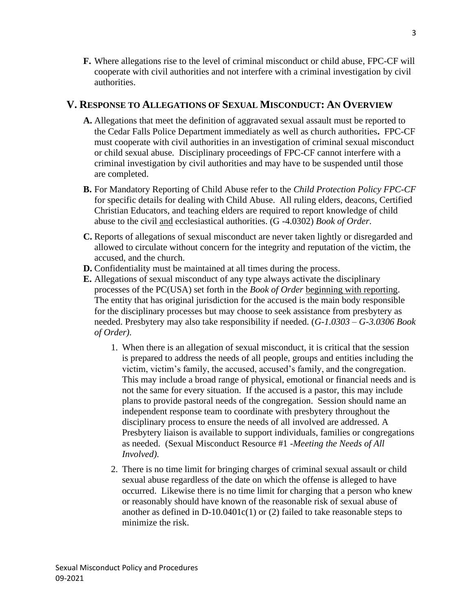**F.** Where allegations rise to the level of criminal misconduct or child abuse, FPC-CF will cooperate with civil authorities and not interfere with a criminal investigation by civil authorities.

#### **V. RESPONSE TO ALLEGATIONS OF SEXUAL MISCONDUCT: AN OVERVIEW**

- **A.** Allegations that meet the definition of aggravated sexual assault must be reported to the Cedar Falls Police Department immediately as well as church authorities**.** FPC-CF must cooperate with civil authorities in an investigation of criminal sexual misconduct or child sexual abuse. Disciplinary proceedings of FPC-CF cannot interfere with a criminal investigation by civil authorities and may have to be suspended until those are completed.
- **B.** For Mandatory Reporting of Child Abuse refer to the *Child Protection Policy FPC-CF* for specific details for dealing with Child Abuse. All ruling elders, deacons, Certified Christian Educators, and teaching elders are required to report knowledge of child abuse to the civil and ecclesiastical authorities. (G -4.0302) *Book of Order*.
- **C.** Reports of allegations of sexual misconduct are never taken lightly or disregarded and allowed to circulate without concern for the integrity and reputation of the victim, the accused, and the church.
- **D.** Confidentiality must be maintained at all times during the process.
- **E.** Allegations of sexual misconduct of any type always activate the disciplinary processes of the PC(USA) set forth in the *Book of Order* beginning with reporting. The entity that has original jurisdiction for the accused is the main body responsible for the disciplinary processes but may choose to seek assistance from presbytery as needed. Presbytery may also take responsibility if needed. (*G-1.0303 – G-3.0306 Book of Order).*
	- 1. When there is an allegation of sexual misconduct, it is critical that the session is prepared to address the needs of all people, groups and entities including the victim, victim's family, the accused, accused's family, and the congregation. This may include a broad range of physical, emotional or financial needs and is not the same for every situation. If the accused is a pastor, this may include plans to provide pastoral needs of the congregation. Session should name an independent response team to coordinate with presbytery throughout the disciplinary process to ensure the needs of all involved are addressed. A Presbytery liaison is available to support individuals, families or congregations as needed. (Sexual Misconduct Resource #1 -*Meeting the Needs of All Involved).*
	- 2. There is no time limit for bringing charges of criminal sexual assault or child sexual abuse regardless of the date on which the offense is alleged to have occurred. Likewise there is no time limit for charging that a person who knew or reasonably should have known of the reasonable risk of sexual abuse of another as defined in  $D-10.0401c(1)$  or (2) failed to take reasonable steps to minimize the risk.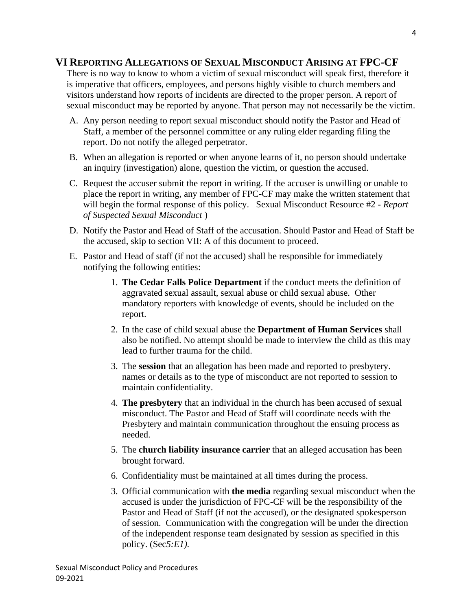### **VI REPORTING ALLEGATIONS OF SEXUAL MISCONDUCT ARISING AT FPC-CF**

There is no way to know to whom a victim of sexual misconduct will speak first, therefore it is imperative that officers, employees, and persons highly visible to church members and visitors understand how reports of incidents are directed to the proper person. A report of sexual misconduct may be reported by anyone. That person may not necessarily be the victim.

- A. Any person needing to report sexual misconduct should notify the Pastor and Head of Staff, a member of the personnel committee or any ruling elder regarding filing the report. Do not notify the alleged perpetrator.
- B. When an allegation is reported or when anyone learns of it, no person should undertake an inquiry (investigation) alone, question the victim, or question the accused.
- C. Request the accuser submit the report in writing. If the accuser is unwilling or unable to place the report in writing, any member of FPC-CF may make the written statement that will begin the formal response of this policy. Sexual Misconduct Resource #2 - *Report of Suspected Sexual Misconduct* )
- D. Notify the Pastor and Head of Staff of the accusation. Should Pastor and Head of Staff be the accused, skip to section VII: A of this document to proceed.
- E. Pastor and Head of staff (if not the accused) shall be responsible for immediately notifying the following entities:
	- 1. **The Cedar Falls Police Department** if the conduct meets the definition of aggravated sexual assault, sexual abuse or child sexual abuse. Other mandatory reporters with knowledge of events, should be included on the report.
	- 2. In the case of child sexual abuse the **Department of Human Services** shall also be notified. No attempt should be made to interview the child as this may lead to further trauma for the child.
	- 3. The **session** that an allegation has been made and reported to presbytery. names or details as to the type of misconduct are not reported to session to maintain confidentiality.
	- 4. **The presbytery** that an individual in the church has been accused of sexual misconduct. The Pastor and Head of Staff will coordinate needs with the Presbytery and maintain communication throughout the ensuing process as needed.
	- 5. The **church liability insurance carrier** that an alleged accusation has been brought forward.
	- 6. Confidentiality must be maintained at all times during the process.
	- 3. Official communication with **the media** regarding sexual misconduct when the accused is under the jurisdiction of FPC-CF will be the responsibility of the Pastor and Head of Staff (if not the accused), or the designated spokesperson of session. Communication with the congregation will be under the direction of the independent response team designated by session as specified in this policy. (Sec*5:E1).*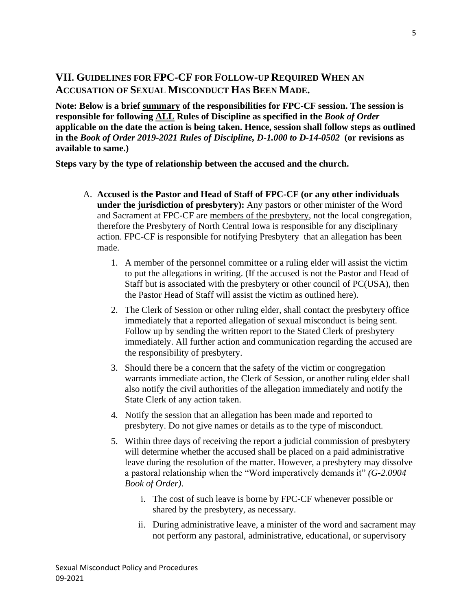# **VII. GUIDELINES FOR FPC-CF FOR FOLLOW-UP REQUIRED WHEN AN ACCUSATION OF SEXUAL MISCONDUCT HAS BEEN MADE.**

**Note: Below is a brief summary of the responsibilities for FPC-CF session. The session is responsible for following ALL Rules of Discipline as specified in the** *Book of Order* **applicable on the date the action is being taken. Hence, session shall follow steps as outlined in the** *Book of Order 2019-2021 Rules of Discipline, D-1.000 to D-14-0502* **(or revisions as available to same.)** 

**Steps vary by the type of relationship between the accused and the church.**

- A. **Accused is the Pastor and Head of Staff of FPC-CF (or any other individuals under the jurisdiction of presbytery):** Any pastors or other minister of the Word and Sacrament at FPC-CF are members of the presbytery, not the local congregation, therefore the Presbytery of North Central Iowa is responsible for any disciplinary action. FPC-CF is responsible for notifying Presbytery that an allegation has been made.
	- 1. A member of the personnel committee or a ruling elder will assist the victim to put the allegations in writing. (If the accused is not the Pastor and Head of Staff but is associated with the presbytery or other council of PC(USA), then the Pastor Head of Staff will assist the victim as outlined here).
	- 2. The Clerk of Session or other ruling elder, shall contact the presbytery office immediately that a reported allegation of sexual misconduct is being sent. Follow up by sending the written report to the Stated Clerk of presbytery immediately. All further action and communication regarding the accused are the responsibility of presbytery.
	- 3. Should there be a concern that the safety of the victim or congregation warrants immediate action, the Clerk of Session, or another ruling elder shall also notify the civil authorities of the allegation immediately and notify the State Clerk of any action taken.
	- 4. Notify the session that an allegation has been made and reported to presbytery. Do not give names or details as to the type of misconduct.
	- 5. Within three days of receiving the report a judicial commission of presbytery will determine whether the accused shall be placed on a paid administrative leave during the resolution of the matter. However, a presbytery may dissolve a pastoral relationship when the "Word imperatively demands it" *(G-2.0904 Book of Order)*.
		- i. The cost of such leave is borne by FPC-CF whenever possible or shared by the presbytery, as necessary.
		- ii. During administrative leave, a minister of the word and sacrament may not perform any pastoral, administrative, educational, or supervisory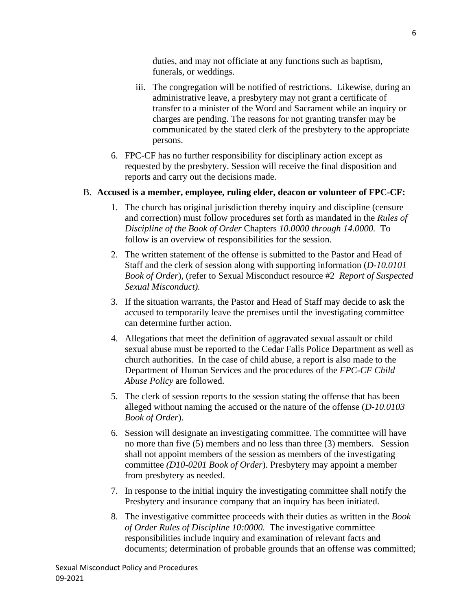duties, and may not officiate at any functions such as baptism, funerals, or weddings.

- iii. The congregation will be notified of restrictions. Likewise, during an administrative leave, a presbytery may not grant a certificate of transfer to a minister of the Word and Sacrament while an inquiry or charges are pending. The reasons for not granting transfer may be communicated by the stated clerk of the presbytery to the appropriate persons.
- 6. FPC-CF has no further responsibility for disciplinary action except as requested by the presbytery. Session will receive the final disposition and reports and carry out the decisions made.

#### B. **Accused is a member, employee, ruling elder, deacon or volunteer of FPC-CF:**

- 1. The church has original jurisdiction thereby inquiry and discipline (censure and correction) must follow procedures set forth as mandated in the *Rules of Discipline of the Book of Order* Chapters *10.0000 through 14.0000.* To follow is an overview of responsibilities for the session.
- 2. The written statement of the offense is submitted to the Pastor and Head of Staff and the clerk of session along with supporting information (*D-10.0101 Book of Order*), (refer to Sexual Misconduct resource #2 *Report of Suspected Sexual Misconduct).*
- 3. If the situation warrants, the Pastor and Head of Staff may decide to ask the accused to temporarily leave the premises until the investigating committee can determine further action.
- 4. Allegations that meet the definition of aggravated sexual assault or child sexual abuse must be reported to the Cedar Falls Police Department as well as church authorities. In the case of child abuse, a report is also made to the Department of Human Services and the procedures of the *FPC-CF Child Abuse Policy* are followed.
- 5. The clerk of session reports to the session stating the offense that has been alleged without naming the accused or the nature of the offense (*D-10.0103 Book of Order*).
- 6. Session will designate an investigating committee. The committee will have no more than five (5) members and no less than three (3) members. Session shall not appoint members of the session as members of the investigating committee *(D10-0201 Book of Order*). Presbytery may appoint a member from presbytery as needed.
- 7. In response to the initial inquiry the investigating committee shall notify the Presbytery and insurance company that an inquiry has been initiated.
- 8. The investigative committee proceeds with their duties as written in the *Book of Order Rules of Discipline 10:0000.* The investigative committee responsibilities include inquiry and examination of relevant facts and documents; determination of probable grounds that an offense was committed;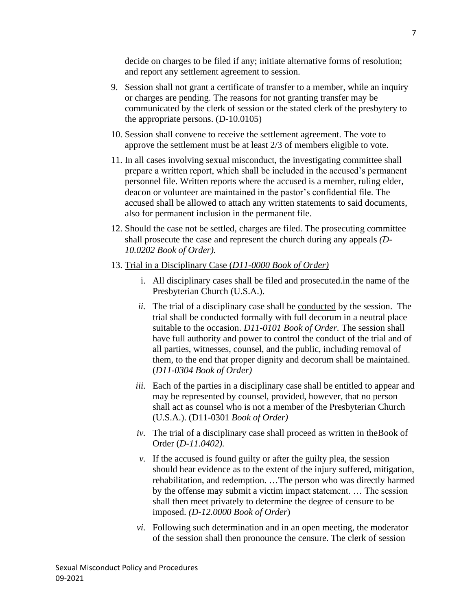decide on charges to be filed if any; initiate alternative forms of resolution; and report any settlement agreement to session.

- 9. Session shall not grant a certificate of transfer to a member, while an inquiry or charges are pending. The reasons for not granting transfer may be communicated by the clerk of session or the stated clerk of the presbytery to the appropriate persons. (D-10.0105)
- 10. Session shall convene to receive the settlement agreement. The vote to approve the settlement must be at least 2/3 of members eligible to vote.
- 11. In all cases involving sexual misconduct, the investigating committee shall prepare a written report, which shall be included in the accused's permanent personnel file. Written reports where the accused is a member, ruling elder, deacon or volunteer are maintained in the pastor's confidential file. The accused shall be allowed to attach any written statements to said documents, also for permanent inclusion in the permanent file.
- 12. Should the case not be settled, charges are filed. The prosecuting committee shall prosecute the case and represent the church during any appeals *(D-10.0202 Book of Order).*
- 13. Trial in a Disciplinary Case (*D11-0000 Book of Order)*
	- i. All disciplinary cases shall be filed and prosecuted.in the name of the Presbyterian Church (U.S.A.).
	- *ii.* The trial of a disciplinary case shall be conducted by the session. The trial shall be conducted formally with full decorum in a neutral place suitable to the occasion. *D11-0101 Book of Order.* The session shall have full authority and power to control the conduct of the trial and of all parties, witnesses, counsel, and the public, including removal of them, to the end that proper dignity and decorum shall be maintained. (*D11-0304 Book of Order)*
	- *iii.* Each of the parties in a disciplinary case shall be entitled to appear and may be represented by counsel, provided, however, that no person shall act as counsel who is not a member of the Presbyterian Church (U.S.A.). (D11-0301 *Book of Order)*
	- *iv.* The trial of a disciplinary case shall proceed as written in theBook of Order (*D-11.0402).*
	- $\nu$ . If the accused is found guilty or after the guilty plea, the session should hear evidence as to the extent of the injury suffered, mitigation, rehabilitation, and redemption. …The person who was directly harmed by the offense may submit a victim impact statement. … The session shall then meet privately to determine the degree of censure to be imposed. *(D-12.0000 Book of Order*)
	- *vi.* Following such determination and in an open meeting, the moderator of the session shall then pronounce the censure. The clerk of session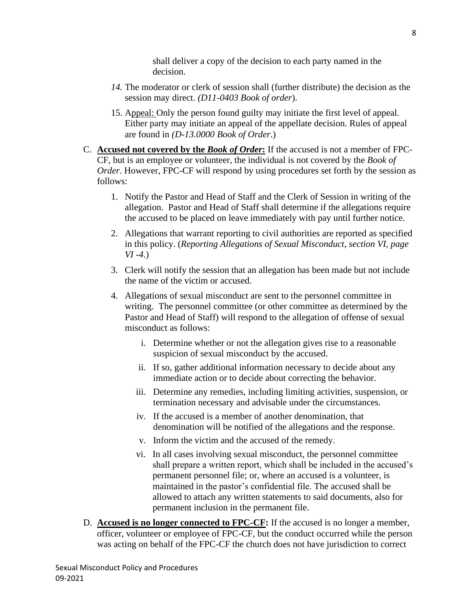shall deliver a copy of the decision to each party named in the decision.

- *14.* The moderator or clerk of session shall (further distribute) the decision as the session may direct. *(D11-0403 Book of order*).
- 15. Appeal: Only the person found guilty may initiate the first level of appeal. Either party may initiate an appeal of the appellate decision. Rules of appeal are found in *(D-13.0000 Book of Order*.)
- C. **Accused not covered by the** *Book of Order***:** If the accused is not a member of FPC-CF, but is an employee or volunteer, the individual is not covered by the *Book of Order*. However, FPC-CF will respond by using procedures set forth by the session as follows:
	- 1. Notify the Pastor and Head of Staff and the Clerk of Session in writing of the allegation. Pastor and Head of Staff shall determine if the allegations require the accused to be placed on leave immediately with pay until further notice.
	- 2. Allegations that warrant reporting to civil authorities are reported as specified in this policy. (*Reporting Allegations of Sexual Misconduct, section VI, page VI -4*.)
	- 3. Clerk will notify the session that an allegation has been made but not include the name of the victim or accused.
	- 4. Allegations of sexual misconduct are sent to the personnel committee in writing. The personnel committee (or other committee as determined by the Pastor and Head of Staff) will respond to the allegation of offense of sexual misconduct as follows:
		- i. Determine whether or not the allegation gives rise to a reasonable suspicion of sexual misconduct by the accused.
		- ii. If so, gather additional information necessary to decide about any immediate action or to decide about correcting the behavior.
		- iii. Determine any remedies, including limiting activities, suspension, or termination necessary and advisable under the circumstances.
		- iv. If the accused is a member of another denomination, that denomination will be notified of the allegations and the response.
		- v. Inform the victim and the accused of the remedy.
		- vi. In all cases involving sexual misconduct, the personnel committee shall prepare a written report, which shall be included in the accused's permanent personnel file; or, where an accused is a volunteer, is maintained in the pastor's confidential file. The accused shall be allowed to attach any written statements to said documents, also for permanent inclusion in the permanent file.
- D. **Accused is no longer connected to FPC-CF:** If the accused is no longer a member, officer, volunteer or employee of FPC-CF, but the conduct occurred while the person was acting on behalf of the FPC-CF the church does not have jurisdiction to correct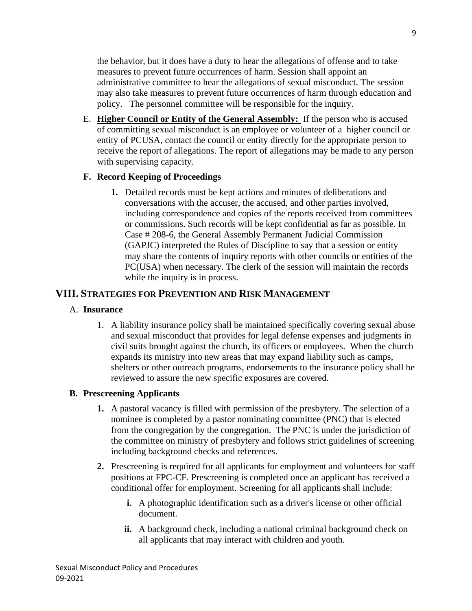the behavior, but it does have a duty to hear the allegations of offense and to take measures to prevent future occurrences of harm. Session shall appoint an administrative committee to hear the allegations of sexual misconduct. The session may also take measures to prevent future occurrences of harm through education and policy. The personnel committee will be responsible for the inquiry.

E. **Higher Council or Entity of the General Assembly:** If the person who is accused of committing sexual misconduct is an employee or volunteer of a higher council or entity of PCUSA, contact the council or entity directly for the appropriate person to receive the report of allegations. The report of allegations may be made to any person with supervising capacity.

## **F. Record Keeping of Proceedings**

**1.** Detailed records must be kept actions and minutes of deliberations and conversations with the accuser, the accused, and other parties involved, including correspondence and copies of the reports received from committees or commissions. Such records will be kept confidential as far as possible. In Case # 208-6, the General Assembly Permanent Judicial Commission (GAPJC) interpreted the Rules of Discipline to say that a session or entity may share the contents of inquiry reports with other councils or entities of the PC(USA) when necessary. The clerk of the session will maintain the records while the inquiry is in process.

## **VIII. STRATEGIES FOR PREVENTION AND RISK MANAGEMENT**

#### A. **Insurance**

1. A liability insurance policy shall be maintained specifically covering sexual abuse and sexual misconduct that provides for legal defense expenses and judgments in civil suits brought against the church, its officers or employees. When the church expands its ministry into new areas that may expand liability such as camps, shelters or other outreach programs, endorsements to the insurance policy shall be reviewed to assure the new specific exposures are covered.

## **B. Prescreening Applicants**

- **1.** A pastoral vacancy is filled with permission of the presbytery. The selection of a nominee is completed by a pastor nominating committee (PNC) that is elected from the congregation by the congregation. The PNC is under the jurisdiction of the committee on ministry of presbytery and follows strict guidelines of screening including background checks and references.
- **2.** Prescreening is required for all applicants for employment and volunteers for staff positions at FPC-CF. Prescreening is completed once an applicant has received a conditional offer for employment. Screening for all applicants shall include:
	- **i.** A photographic identification such as a driver's license or other official document.
	- **ii.** A background check, including a national criminal background check on all applicants that may interact with children and youth.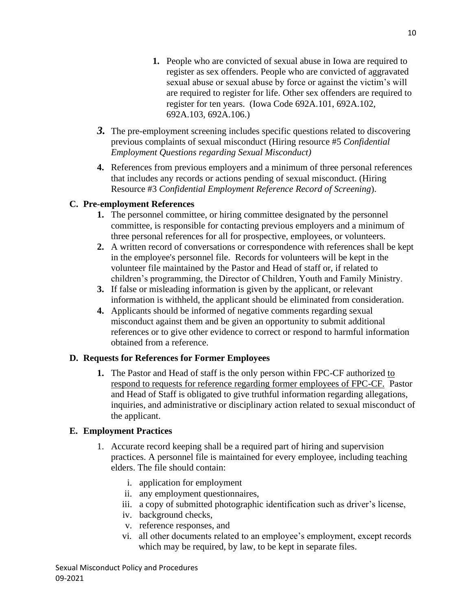- **1.** People who are convicted of sexual abuse in Iowa are required to register as sex offenders. People who are convicted of aggravated sexual abuse or sexual abuse by force or against the victim's will are required to register for life. Other sex offenders are required to register for ten years. (Iowa Code 692A.101, 692A.102, 692A.103, 692A.106.)
- *3.* The pre-employment screening includes specific questions related to discovering previous complaints of sexual misconduct (Hiring resource #5 *Confidential Employment Questions regarding Sexual Misconduct)*
- **4.** References from previous employers and a minimum of three personal references that includes any records or actions pending of sexual misconduct. (Hiring Resource #3 *Confidential Employment Reference Record of Screening*).

## **C. Pre-employment References**

- **1.** The personnel committee, or hiring committee designated by the personnel committee, is responsible for contacting previous employers and a minimum of three personal references for all for prospective, employees, or volunteers.
- **2.** A written record of conversations or correspondence with references shall be kept in the employee's personnel file. Records for volunteers will be kept in the volunteer file maintained by the Pastor and Head of staff or, if related to children's programming, the Director of Children, Youth and Family Ministry.
- **3.** If false or misleading information is given by the applicant, or relevant information is withheld, the applicant should be eliminated from consideration.
- **4.** Applicants should be informed of negative comments regarding sexual misconduct against them and be given an opportunity to submit additional references or to give other evidence to correct or respond to harmful information obtained from a reference.

#### **D. Requests for References for Former Employees**

**1.** The Pastor and Head of staff is the only person within FPC-CF authorized to respond to requests for reference regarding former employees of FPC-CF. Pastor and Head of Staff is obligated to give truthful information regarding allegations, inquiries, and administrative or disciplinary action related to sexual misconduct of the applicant.

#### **E. Employment Practices**

- 1. Accurate record keeping shall be a required part of hiring and supervision practices. A personnel file is maintained for every employee, including teaching elders. The file should contain:
	- i. application for employment
	- ii. any employment questionnaires,
	- iii. a copy of submitted photographic identification such as driver's license,
	- iv. background checks,
	- v. reference responses, and
	- vi. all other documents related to an employee's employment, except records which may be required, by law, to be kept in separate files.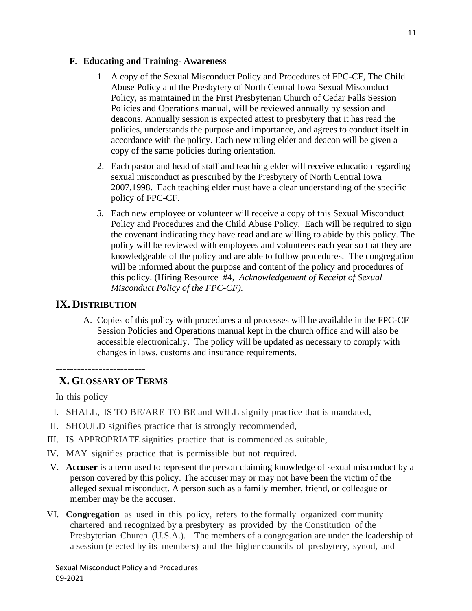#### **F. Educating and Training- Awareness**

- 1. A copy of the Sexual Misconduct Policy and Procedures of FPC-CF, The Child Abuse Policy and the Presbytery of North Central Iowa Sexual Misconduct Policy, as maintained in the First Presbyterian Church of Cedar Falls Session Policies and Operations manual, will be reviewed annually by session and deacons. Annually session is expected attest to presbytery that it has read the policies, understands the purpose and importance, and agrees to conduct itself in accordance with the policy. Each new ruling elder and deacon will be given a copy of the same policies during orientation.
- 2. Each pastor and head of staff and teaching elder will receive education regarding sexual misconduct as prescribed by the Presbytery of North Central Iowa 2007,1998. Each teaching elder must have a clear understanding of the specific policy of FPC-CF.
- *3.* Each new employee or volunteer will receive a copy of this Sexual Misconduct Policy and Procedures and the Child Abuse Policy. Each will be required to sign the covenant indicating they have read and are willing to abide by this policy. The policy will be reviewed with employees and volunteers each year so that they are knowledgeable of the policy and are able to follow procedures. The congregation will be informed about the purpose and content of the policy and procedures of this policy. (Hiring Resource #4, *Acknowledgement of Receipt of Sexual Misconduct Policy of the FPC-CF).*

## **IX. DISTRIBUTION**

A. Copies of this policy with procedures and processes will be available in the FPC-CF Session Policies and Operations manual kept in the church office and will also be accessible electronically. The policy will be updated as necessary to comply with changes in laws, customs and insurance requirements.

#### **-------------------------**

# **X. GLOSSARY OF TERMS**

In this policy

- I. SHALL, IS TO BE/ARE TO BE and WILL signify practice that is mandated,
- II. SHOULD signifies practice that is strongly recommended,
- III. IS APPROPRIATE signifies practice that is commended as suitable,
- IV. MAY signifies practice that is permissible but not required.
- V. **Accuser** is a term used to represent the person claiming knowledge of sexual misconduct by a person covered by this policy. The accuser may or may not have been the victim of the alleged sexual misconduct. A person such as a family member, friend, or colleague or member may be the accuser.
- VI. **Congregation** as used in this policy, refers to the formally organized community chartered and recognized by a presbytery as provided by the Constitution of the Presbyterian Church (U.S.A.). The members of a congregation are under the leadership of a session (elected by its members) and the higher councils of presbytery, synod, and